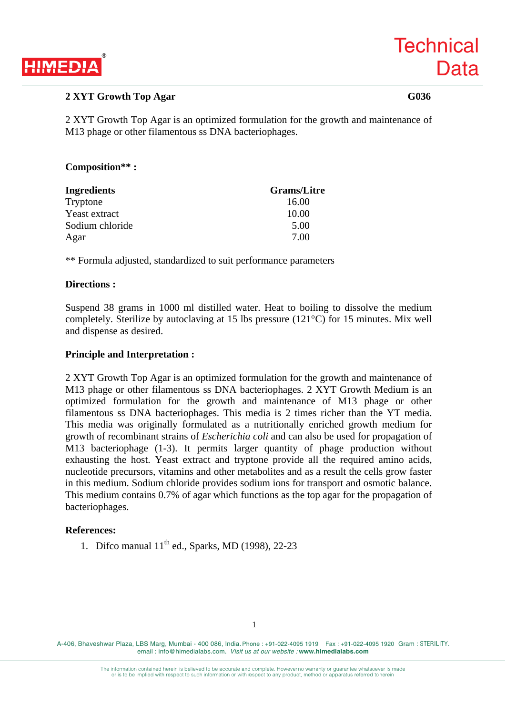

# **2 XYT Growth Top Agar G036**

2 XYT Growth Top Agar is an optimized formulation for the growth and maintenance of M13 phage or other filamentous ss DNA bacteriophages.

### **Composition\*\* :**

| <b>Ingredients</b> | <b>Grams/Litre</b> |
|--------------------|--------------------|
| Tryptone           | 16.00              |
| Yeast extract      | 10.00              |
| Sodium chloride    | 5.00               |
| Agar               | 7.00               |

\*\* Formula adjusted, standardized to suit performance parameters

### **Directions :**

Suspend 38 grams in 1000 ml distilled water. Heat to boiling to dissolve the medium completely. Sterilize by autoclaving at 15 lbs pressure (121°C) for 15 minutes. Mix well and dispense as desired.

#### **Principle and Interpretation :**

2 XYT Growth Top Agar is an optimized formulation for the growth and maintenance of M13 phage or other filamentous ss DNA bacteriophages. 2 XYT Growth Medium is an optimized formulation for the growth and maintenance of M13 phage or other filamentous ss DNA bacteriophages. This media is 2 times richer than the YT media. This media was originally formulated as a nutritionally enriched growth medium for growth of recombinant strains of *Escherichia coli* and can also be used for propagation of M13 bacteriophage (1-3). It permits larger quantity of phage production without exhausting the host. Yeast extract and tryptone provide all the required amino acids, nucleotide precursors, vitamins and other metabolites and as a result the cells grow faster in this medium. Sodium chloride provides sodium ions for transport and osmotic balance. This medium contains 0.7% of agar which functions as the top agar for the propagation of bacteriophages.

#### **References:**

1. Difco manual  $11<sup>th</sup>$  ed., Sparks, MD (1998), 22-23

A-406, Bhaveshwar Plaza, LBS Marg, Mumbai - 400 086, India. Phone : +91-022-4095 1919 Fax : +91-022-4095 1920 Gram : STERILITY. email : info@himedialabs.com. *Visit us at our website :* **www.himedialabs.com**